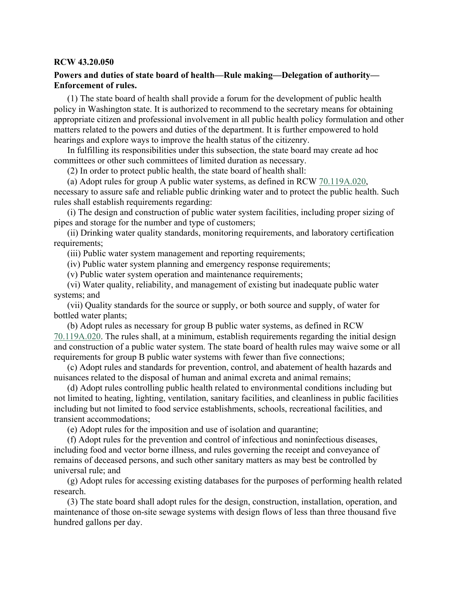### **RCW 43.20.050**

# **Powers and duties of state board of health—Rule making—Delegation of authority— Enforcement of rules.**

(1) The state board of health shall provide a forum for the development of public health policy in Washington state. It is authorized to recommend to the secretary means for obtaining appropriate citizen and professional involvement in all public health policy formulation and other matters related to the powers and duties of the department. It is further empowered to hold hearings and explore ways to improve the health status of the citizenry.

In fulfilling its responsibilities under this subsection, the state board may create ad hoc committees or other such committees of limited duration as necessary.

(2) In order to protect public health, the state board of health shall:

(a) Adopt rules for group A public water systems, as defined in RCW [70.119A.020,](http://app.leg.wa.gov/RCW/default.aspx?cite=70.119A.020) necessary to assure safe and reliable public drinking water and to protect the public health. Such rules shall establish requirements regarding:

(i) The design and construction of public water system facilities, including proper sizing of pipes and storage for the number and type of customers;

(ii) Drinking water quality standards, monitoring requirements, and laboratory certification requirements;

(iii) Public water system management and reporting requirements;

(iv) Public water system planning and emergency response requirements;

(v) Public water system operation and maintenance requirements;

(vi) Water quality, reliability, and management of existing but inadequate public water systems; and

(vii) Quality standards for the source or supply, or both source and supply, of water for bottled water plants;

(b) Adopt rules as necessary for group B public water systems, as defined in RCW [70.119A.020.](http://app.leg.wa.gov/RCW/default.aspx?cite=70.119A.020) The rules shall, at a minimum, establish requirements regarding the initial design and construction of a public water system. The state board of health rules may waive some or all requirements for group B public water systems with fewer than five connections;

(c) Adopt rules and standards for prevention, control, and abatement of health hazards and nuisances related to the disposal of human and animal excreta and animal remains;

(d) Adopt rules controlling public health related to environmental conditions including but not limited to heating, lighting, ventilation, sanitary facilities, and cleanliness in public facilities including but not limited to food service establishments, schools, recreational facilities, and transient accommodations;

(e) Adopt rules for the imposition and use of isolation and quarantine;

(f) Adopt rules for the prevention and control of infectious and noninfectious diseases, including food and vector borne illness, and rules governing the receipt and conveyance of remains of deceased persons, and such other sanitary matters as may best be controlled by universal rule; and

(g) Adopt rules for accessing existing databases for the purposes of performing health related research.

(3) The state board shall adopt rules for the design, construction, installation, operation, and maintenance of those on-site sewage systems with design flows of less than three thousand five hundred gallons per day.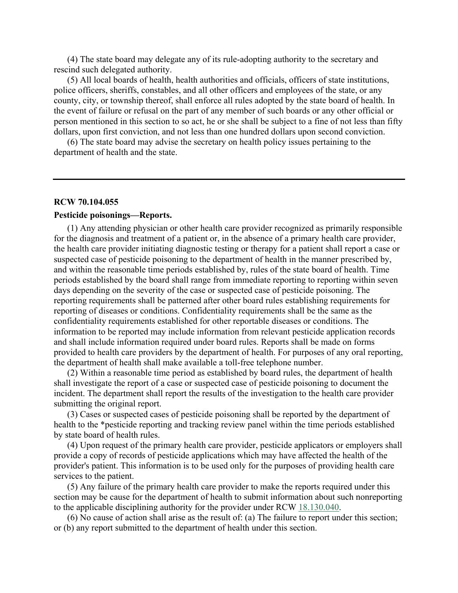(4) The state board may delegate any of its rule-adopting authority to the secretary and rescind such delegated authority.

(5) All local boards of health, health authorities and officials, officers of state institutions, police officers, sheriffs, constables, and all other officers and employees of the state, or any county, city, or township thereof, shall enforce all rules adopted by the state board of health. In the event of failure or refusal on the part of any member of such boards or any other official or person mentioned in this section to so act, he or she shall be subject to a fine of not less than fifty dollars, upon first conviction, and not less than one hundred dollars upon second conviction.

(6) The state board may advise the secretary on health policy issues pertaining to the department of health and the state.

#### **RCW 70.104.055**

### **Pesticide poisonings—Reports.**

(1) Any attending physician or other health care provider recognized as primarily responsible for the diagnosis and treatment of a patient or, in the absence of a primary health care provider, the health care provider initiating diagnostic testing or therapy for a patient shall report a case or suspected case of pesticide poisoning to the department of health in the manner prescribed by, and within the reasonable time periods established by, rules of the state board of health. Time periods established by the board shall range from immediate reporting to reporting within seven days depending on the severity of the case or suspected case of pesticide poisoning. The reporting requirements shall be patterned after other board rules establishing requirements for reporting of diseases or conditions. Confidentiality requirements shall be the same as the confidentiality requirements established for other reportable diseases or conditions. The information to be reported may include information from relevant pesticide application records and shall include information required under board rules. Reports shall be made on forms provided to health care providers by the department of health. For purposes of any oral reporting, the department of health shall make available a toll-free telephone number.

(2) Within a reasonable time period as established by board rules, the department of health shall investigate the report of a case or suspected case of pesticide poisoning to document the incident. The department shall report the results of the investigation to the health care provider submitting the original report.

(3) Cases or suspected cases of pesticide poisoning shall be reported by the department of health to the \*pesticide reporting and tracking review panel within the time periods established by state board of health rules.

(4) Upon request of the primary health care provider, pesticide applicators or employers shall provide a copy of records of pesticide applications which may have affected the health of the provider's patient. This information is to be used only for the purposes of providing health care services to the patient.

(5) Any failure of the primary health care provider to make the reports required under this section may be cause for the department of health to submit information about such nonreporting to the applicable disciplining authority for the provider under RCW [18.130.040.](http://app.leg.wa.gov/RCW/default.aspx?cite=18.130.040)

(6) No cause of action shall arise as the result of: (a) The failure to report under this section; or (b) any report submitted to the department of health under this section.